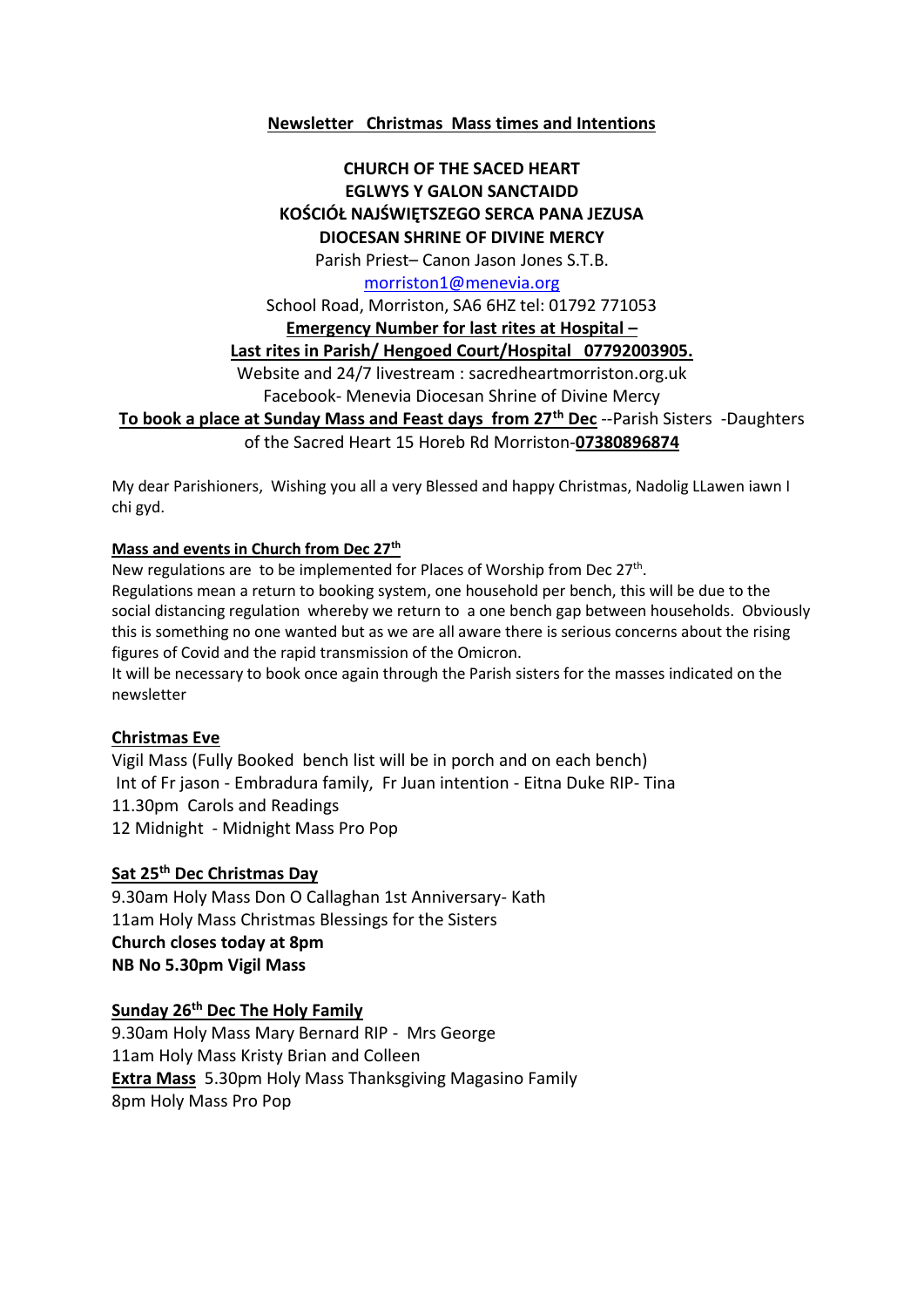# **Newsletter Christmas Mass times and Intentions**

## **CHURCH OF THE SACED HEART EGLWYS Y GALON SANCTAIDD KOŚCIÓŁ NAJŚWIĘTSZEGO SERCA PANA JEZUSA DIOCESAN SHRINE OF DIVINE MERCY**

Parish Priest– Canon Jason Jones S.T.B.

#### [morriston1@menevia.org](mailto:morriston1@menevia.org)

School Road, Morriston, SA6 6HZ tel: 01792 771053

**Emergency Number for last rites at Hospital –**

**Last rites in Parish/ Hengoed Court/Hospital 07792003905.** 

Website and 24/7 livestream : sacredheartmorriston.org.uk

Facebook- Menevia Diocesan Shrine of Divine Mercy

**To book a place at Sunday Mass and Feast days from 27th Dec** --Parish Sisters -Daughters

of the Sacred Heart 15 Horeb Rd Morriston-**07380896874**

My dear Parishioners, Wishing you all a very Blessed and happy Christmas, Nadolig LLawen iawn I chi gyd.

## **Mass and events in Church from Dec 27th**

New regulations are to be implemented for Places of Worship from Dec 27<sup>th</sup>. Regulations mean a return to booking system, one household per bench, this will be due to the social distancing regulation whereby we return to a one bench gap between households. Obviously this is something no one wanted but as we are all aware there is serious concerns about the rising figures of Covid and the rapid transmission of the Omicron.

It will be necessary to book once again through the Parish sisters for the masses indicated on the newsletter

## **Christmas Eve**

Vigil Mass (Fully Booked bench list will be in porch and on each bench) Int of Fr jason - Embradura family, Fr Juan intention - Eitna Duke RIP- Tina 11.30pm Carols and Readings 12 Midnight - Midnight Mass Pro Pop

## **Sat 25th Dec Christmas Day**

9.30am Holy Mass Don O Callaghan 1st Anniversary- Kath 11am Holy Mass Christmas Blessings for the Sisters **Church closes today at 8pm NB No 5.30pm Vigil Mass** 

## **Sunday 26th Dec The Holy Family**

9.30am Holy Mass Mary Bernard RIP - Mrs George 11am Holy Mass Kristy Brian and Colleen **Extra Mass** 5.30pm Holy Mass Thanksgiving Magasino Family 8pm Holy Mass Pro Pop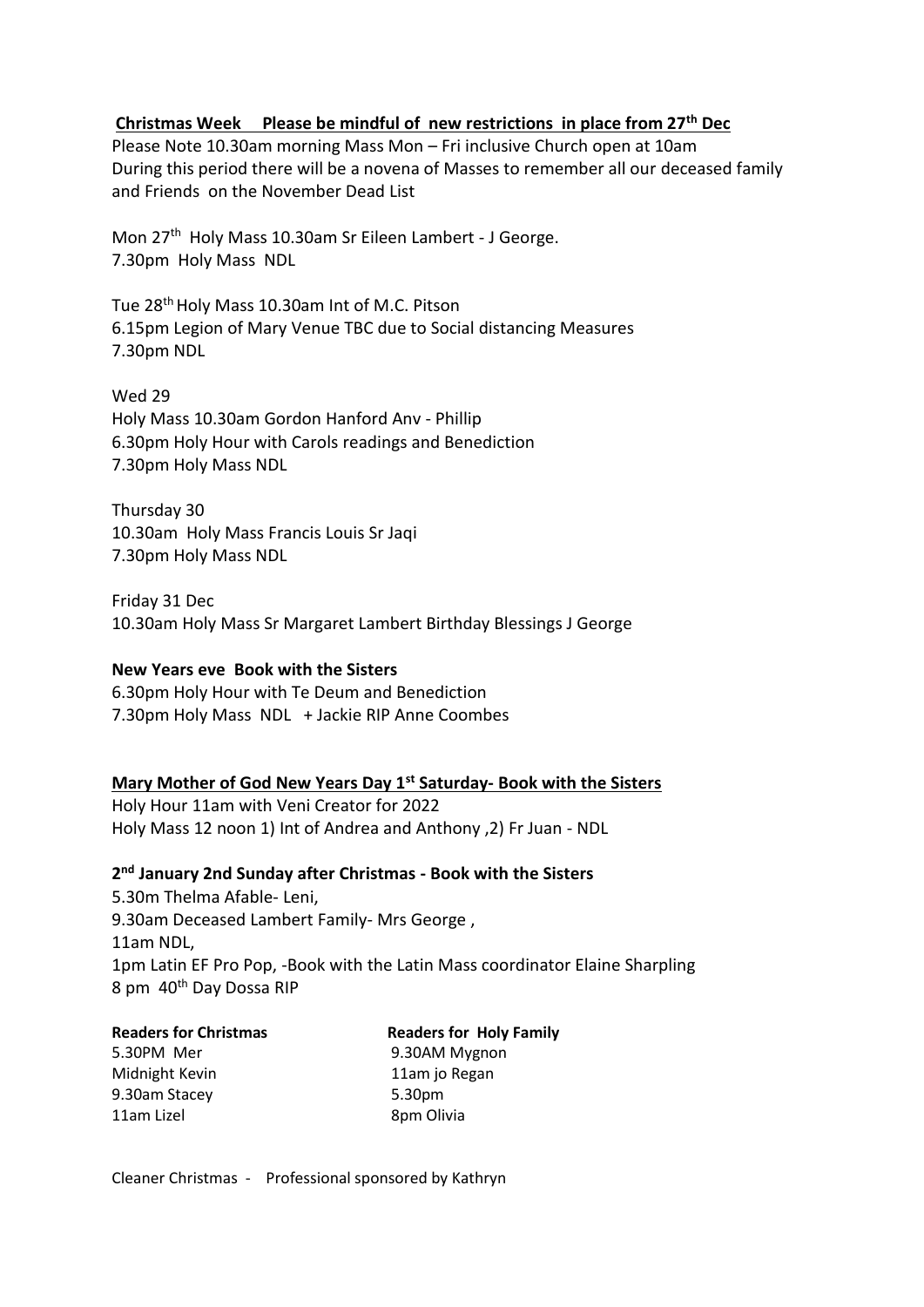# **Christmas Week Please be mindful of new restrictions in place from 27th Dec**

Please Note 10.30am morning Mass Mon – Fri inclusive Church open at 10am During this period there will be a novena of Masses to remember all our deceased family and Friends on the November Dead List

Mon 27<sup>th</sup> Holy Mass 10.30am Sr Eileen Lambert - J George. 7.30pm Holy Mass NDL

Tue 28<sup>th</sup> Holy Mass 10.30am Int of M.C. Pitson 6.15pm Legion of Mary Venue TBC due to Social distancing Measures 7.30pm NDL

Wed 29 Holy Mass 10.30am Gordon Hanford Anv - Phillip 6.30pm Holy Hour with Carols readings and Benediction 7.30pm Holy Mass NDL

Thursday 30 10.30am Holy Mass Francis Louis Sr Jaqi 7.30pm Holy Mass NDL

Friday 31 Dec 10.30am Holy Mass Sr Margaret Lambert Birthday Blessings J George

## **New Years eve Book with the Sisters**

6.30pm Holy Hour with Te Deum and Benediction 7.30pm Holy Mass NDL + Jackie RIP Anne Coombes

## **Mary Mother of God New Years Day 1st Saturday- Book with the Sisters**

Holy Hour 11am with Veni Creator for 2022 Holy Mass 12 noon 1) Int of Andrea and Anthony ,2) Fr Juan - NDL

# **2 nd January 2nd Sunday after Christmas - Book with the Sisters**

5.30m Thelma Afable- Leni, 9.30am Deceased Lambert Family- Mrs George , 11am NDL, 1pm Latin EF Pro Pop, -Book with the Latin Mass coordinator Elaine Sharpling 8 pm 40<sup>th</sup> Day Dossa RIP

| <b>Readers for Christmas</b> | <b>Readers for Holy Family</b> |
|------------------------------|--------------------------------|
| 5.30PM Mer                   | 9.30AM Mygnon                  |
| Midnight Kevin               | 11am jo Regan                  |
| 9.30am Stacey                | 5.30pm                         |
| 11am Lizel                   | 8pm Olivia                     |
|                              |                                |

Cleaner Christmas - Professional sponsored by Kathryn